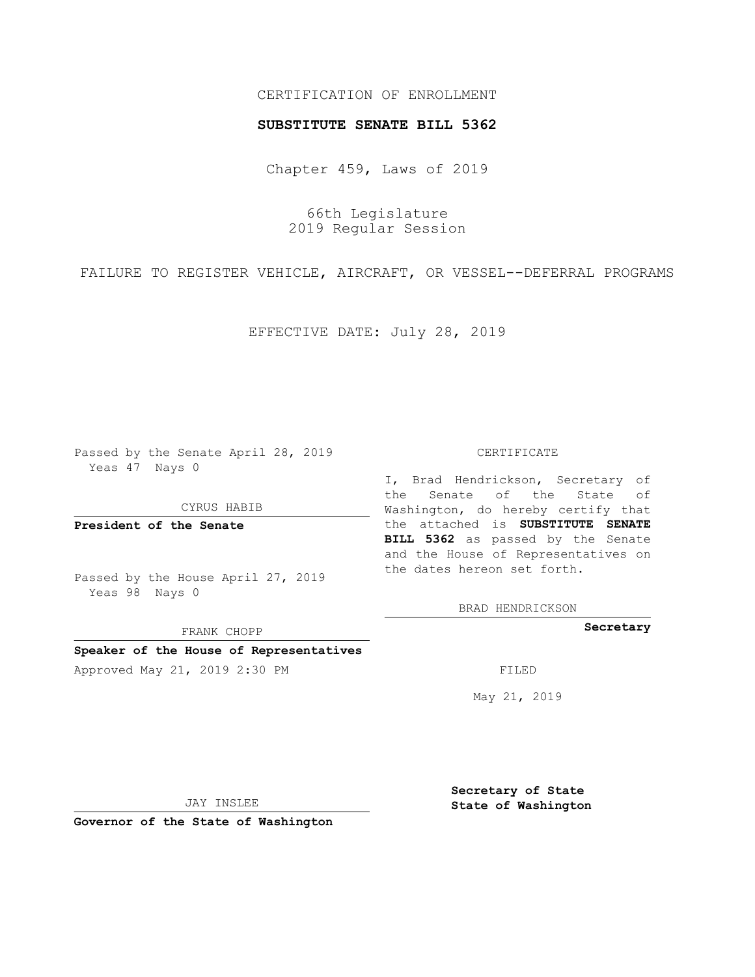## CERTIFICATION OF ENROLLMENT

## **SUBSTITUTE SENATE BILL 5362**

Chapter 459, Laws of 2019

66th Legislature 2019 Regular Session

FAILURE TO REGISTER VEHICLE, AIRCRAFT, OR VESSEL--DEFERRAL PROGRAMS

EFFECTIVE DATE: July 28, 2019

Passed by the Senate April 28, 2019 Yeas 47 Nays 0

CYRUS HABIB

**President of the Senate**

Passed by the House April 27, 2019 Yeas 98 Nays 0

FRANK CHOPP

# **Speaker of the House of Representatives**

Approved May 21, 2019 2:30 PM

#### CERTIFICATE

I, Brad Hendrickson, Secretary of the Senate of the State of Washington, do hereby certify that the attached is **SUBSTITUTE SENATE BILL 5362** as passed by the Senate and the House of Representatives on the dates hereon set forth.

BRAD HENDRICKSON

**Secretary**

May 21, 2019

JAY INSLEE

**Governor of the State of Washington**

**Secretary of State State of Washington**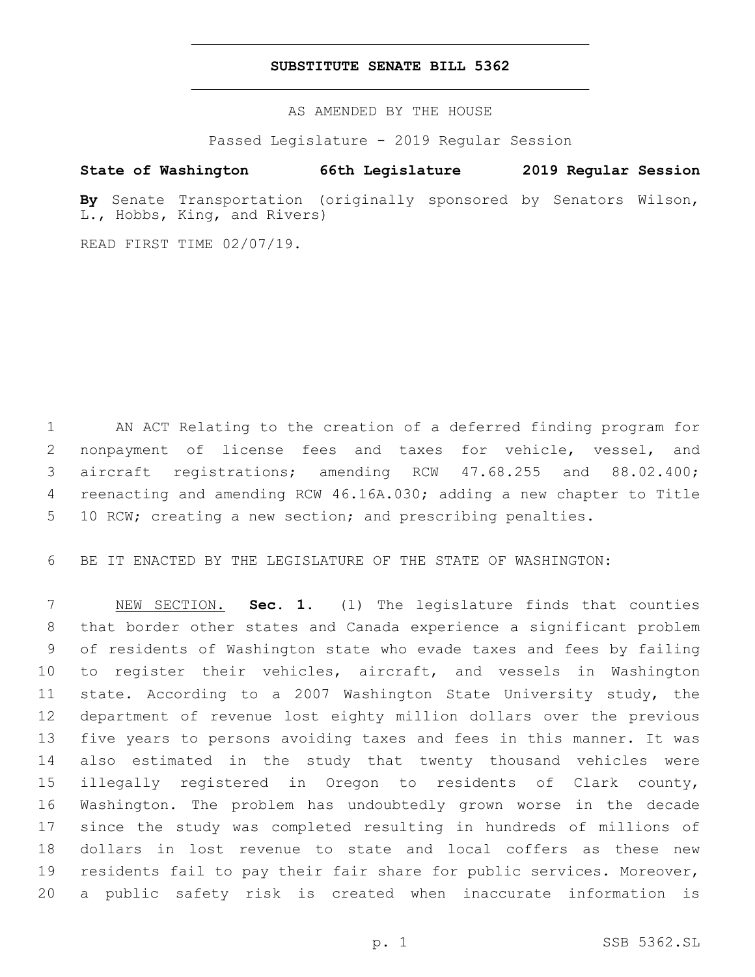## **SUBSTITUTE SENATE BILL 5362**

AS AMENDED BY THE HOUSE

Passed Legislature - 2019 Regular Session

# **State of Washington 66th Legislature 2019 Regular Session**

**By** Senate Transportation (originally sponsored by Senators Wilson, L., Hobbs, King, and Rivers)

READ FIRST TIME 02/07/19.

 AN ACT Relating to the creation of a deferred finding program for nonpayment of license fees and taxes for vehicle, vessel, and aircraft registrations; amending RCW 47.68.255 and 88.02.400; reenacting and amending RCW 46.16A.030; adding a new chapter to Title 10 RCW; creating a new section; and prescribing penalties.

BE IT ENACTED BY THE LEGISLATURE OF THE STATE OF WASHINGTON:

 NEW SECTION. **Sec. 1.** (1) The legislature finds that counties that border other states and Canada experience a significant problem of residents of Washington state who evade taxes and fees by failing to register their vehicles, aircraft, and vessels in Washington state. According to a 2007 Washington State University study, the department of revenue lost eighty million dollars over the previous five years to persons avoiding taxes and fees in this manner. It was also estimated in the study that twenty thousand vehicles were illegally registered in Oregon to residents of Clark county, Washington. The problem has undoubtedly grown worse in the decade since the study was completed resulting in hundreds of millions of dollars in lost revenue to state and local coffers as these new residents fail to pay their fair share for public services. Moreover, a public safety risk is created when inaccurate information is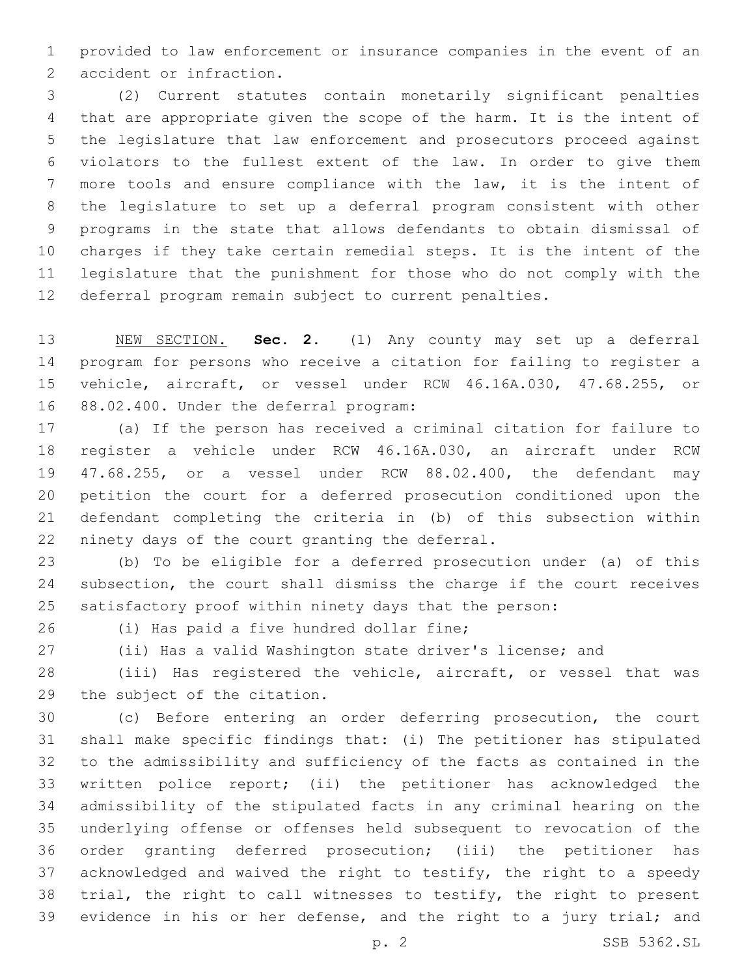provided to law enforcement or insurance companies in the event of an 2 accident or infraction.

 (2) Current statutes contain monetarily significant penalties that are appropriate given the scope of the harm. It is the intent of the legislature that law enforcement and prosecutors proceed against violators to the fullest extent of the law. In order to give them more tools and ensure compliance with the law, it is the intent of the legislature to set up a deferral program consistent with other programs in the state that allows defendants to obtain dismissal of charges if they take certain remedial steps. It is the intent of the legislature that the punishment for those who do not comply with the deferral program remain subject to current penalties.

 NEW SECTION. **Sec. 2.** (1) Any county may set up a deferral program for persons who receive a citation for failing to register a vehicle, aircraft, or vessel under RCW 46.16A.030, 47.68.255, or 88.02.400. Under the deferral program:

 (a) If the person has received a criminal citation for failure to register a vehicle under RCW 46.16A.030, an aircraft under RCW 47.68.255, or a vessel under RCW 88.02.400, the defendant may petition the court for a deferred prosecution conditioned upon the defendant completing the criteria in (b) of this subsection within 22 ninety days of the court granting the deferral.

 (b) To be eligible for a deferred prosecution under (a) of this subsection, the court shall dismiss the charge if the court receives satisfactory proof within ninety days that the person:

26 (i) Has paid a five hundred dollar fine;

(ii) Has a valid Washington state driver's license; and

 (iii) Has registered the vehicle, aircraft, or vessel that was 29 the subject of the citation.

 (c) Before entering an order deferring prosecution, the court shall make specific findings that: (i) The petitioner has stipulated to the admissibility and sufficiency of the facts as contained in the written police report; (ii) the petitioner has acknowledged the admissibility of the stipulated facts in any criminal hearing on the underlying offense or offenses held subsequent to revocation of the order granting deferred prosecution; (iii) the petitioner has acknowledged and waived the right to testify, the right to a speedy trial, the right to call witnesses to testify, the right to present 39 evidence in his or her defense, and the right to a jury trial; and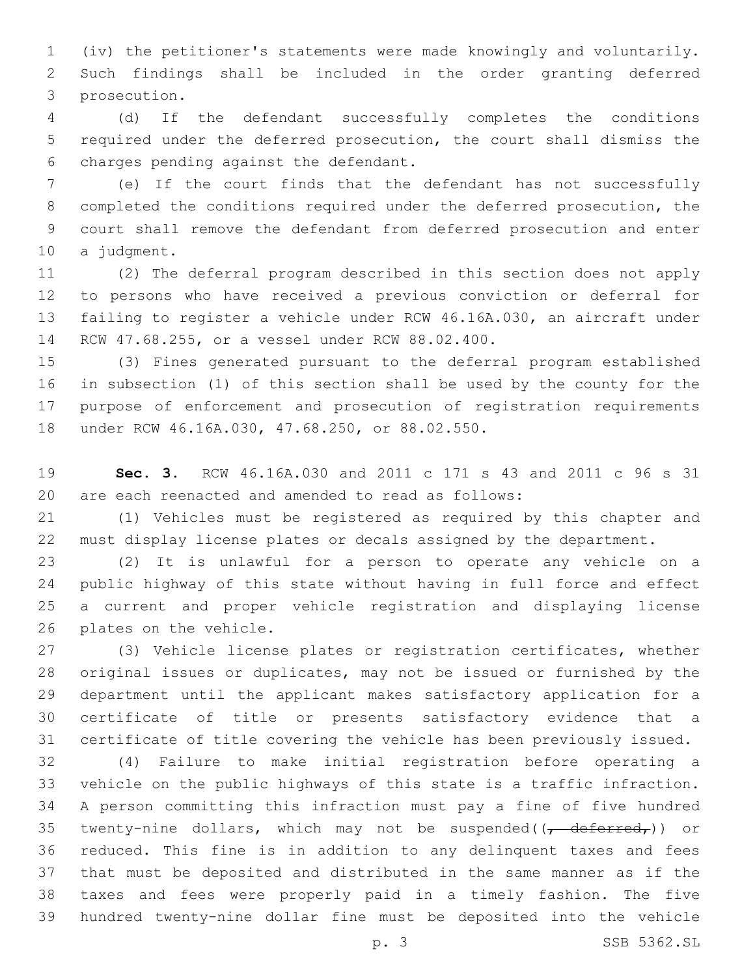(iv) the petitioner's statements were made knowingly and voluntarily. Such findings shall be included in the order granting deferred 3 prosecution.

 (d) If the defendant successfully completes the conditions required under the deferred prosecution, the court shall dismiss the 6 charges pending against the defendant.

 (e) If the court finds that the defendant has not successfully completed the conditions required under the deferred prosecution, the court shall remove the defendant from deferred prosecution and enter 10 a judgment.

 (2) The deferral program described in this section does not apply to persons who have received a previous conviction or deferral for failing to register a vehicle under RCW 46.16A.030, an aircraft under 14 RCW 47.68.255, or a vessel under RCW 88.02.400.

 (3) Fines generated pursuant to the deferral program established in subsection (1) of this section shall be used by the county for the purpose of enforcement and prosecution of registration requirements 18 under RCW 46.16A.030, 47.68.250, or 88.02.550.

 **Sec. 3.** RCW 46.16A.030 and 2011 c 171 s 43 and 2011 c 96 s 31 are each reenacted and amended to read as follows:

 (1) Vehicles must be registered as required by this chapter and must display license plates or decals assigned by the department.

 (2) It is unlawful for a person to operate any vehicle on a public highway of this state without having in full force and effect a current and proper vehicle registration and displaying license 26 plates on the vehicle.

 (3) Vehicle license plates or registration certificates, whether original issues or duplicates, may not be issued or furnished by the department until the applicant makes satisfactory application for a certificate of title or presents satisfactory evidence that a certificate of title covering the vehicle has been previously issued.

 (4) Failure to make initial registration before operating a vehicle on the public highways of this state is a traffic infraction. A person committing this infraction must pay a fine of five hundred 35 twenty-nine dollars, which may not be suspended( $\frac{1}{1}$  deferred,)) or reduced. This fine is in addition to any delinquent taxes and fees that must be deposited and distributed in the same manner as if the taxes and fees were properly paid in a timely fashion. The five hundred twenty-nine dollar fine must be deposited into the vehicle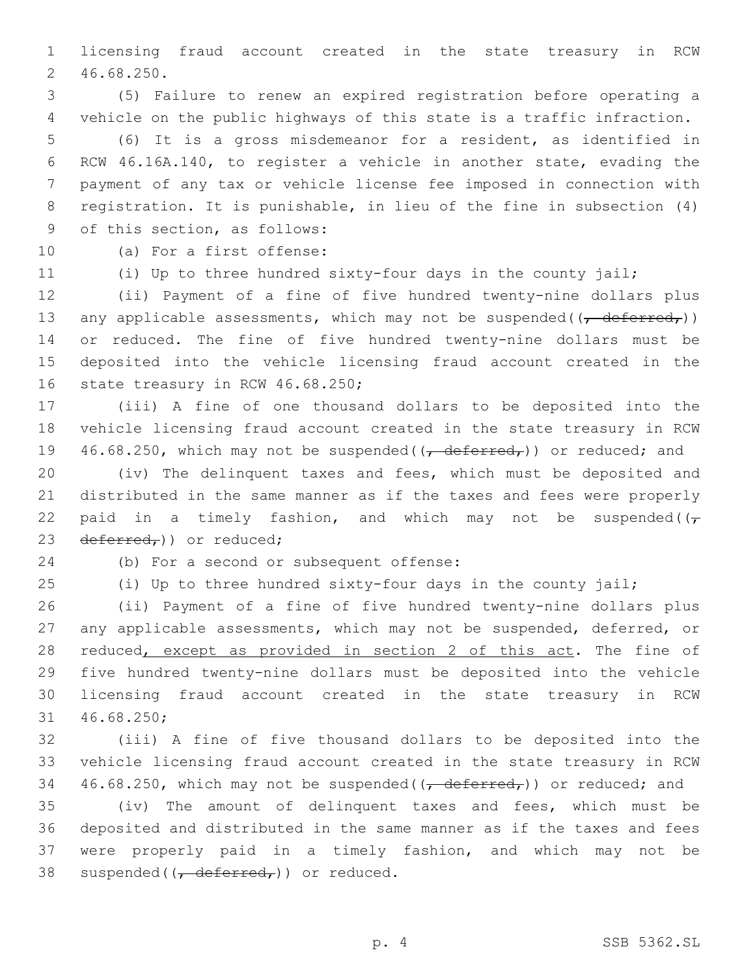licensing fraud account created in the state treasury in RCW 46.68.250.2

 (5) Failure to renew an expired registration before operating a vehicle on the public highways of this state is a traffic infraction.

 (6) It is a gross misdemeanor for a resident, as identified in RCW 46.16A.140, to register a vehicle in another state, evading the payment of any tax or vehicle license fee imposed in connection with registration. It is punishable, in lieu of the fine in subsection (4) 9 of this section, as follows:

10 (a) For a first offense:

(i) Up to three hundred sixty-four days in the county jail;

 (ii) Payment of a fine of five hundred twenty-nine dollars plus 13 any applicable assessments, which may not be suspended( $\frac{1}{1}$  deferred,)) or reduced. The fine of five hundred twenty-nine dollars must be deposited into the vehicle licensing fraud account created in the 16 state treasury in RCW 46.68.250;

 (iii) A fine of one thousand dollars to be deposited into the vehicle licensing fraud account created in the state treasury in RCW 19 46.68.250, which may not be suspended( $\left(\frac{\text{deferred}}{\text{ermed}}\right)$ ) or reduced; and

 (iv) The delinquent taxes and fees, which must be deposited and distributed in the same manner as if the taxes and fees were properly 22 paid in a timely fashion, and which may not be suspended( $(\tau)$ 23 deferred,)) or reduced;

24 (b) For a second or subsequent offense:

(i) Up to three hundred sixty-four days in the county jail;

 (ii) Payment of a fine of five hundred twenty-nine dollars plus any applicable assessments, which may not be suspended, deferred, or 28 reduced, except as provided in section 2 of this act. The fine of five hundred twenty-nine dollars must be deposited into the vehicle licensing fraud account created in the state treasury in RCW 31 46.68.250;

 (iii) A fine of five thousand dollars to be deposited into the vehicle licensing fraud account created in the state treasury in RCW 34 46.68.250, which may not be suspended( $\left(\frac{\text{deferred}}{\text{ermed}}\right)$ ) or reduced; and

 (iv) The amount of delinquent taxes and fees, which must be deposited and distributed in the same manner as if the taxes and fees were properly paid in a timely fashion, and which may not be 38 suspended( $\left(\frac{\pi}{6} \cdot \frac{1}{2} \cdot \frac{1}{2} \cdot \frac{1}{2} \cdot \frac{1}{2} \cdot \frac{1}{2} \cdot \frac{1}{2} \cdot \frac{1}{2} \cdot \frac{1}{2} \cdot \frac{1}{2} \cdot \frac{1}{2} \cdot \frac{1}{2} \cdot \frac{1}{2} \cdot \frac{1}{2} \cdot \frac{1}{2} \cdot \frac{1}{2} \cdot \frac{1}{2} \cdot \frac{1}{2} \cdot \frac{1}{2} \cdot \frac{1}{2} \cdot \frac{1}{2} \cdot \frac{1}{2} \cdot \frac{1}{2}$